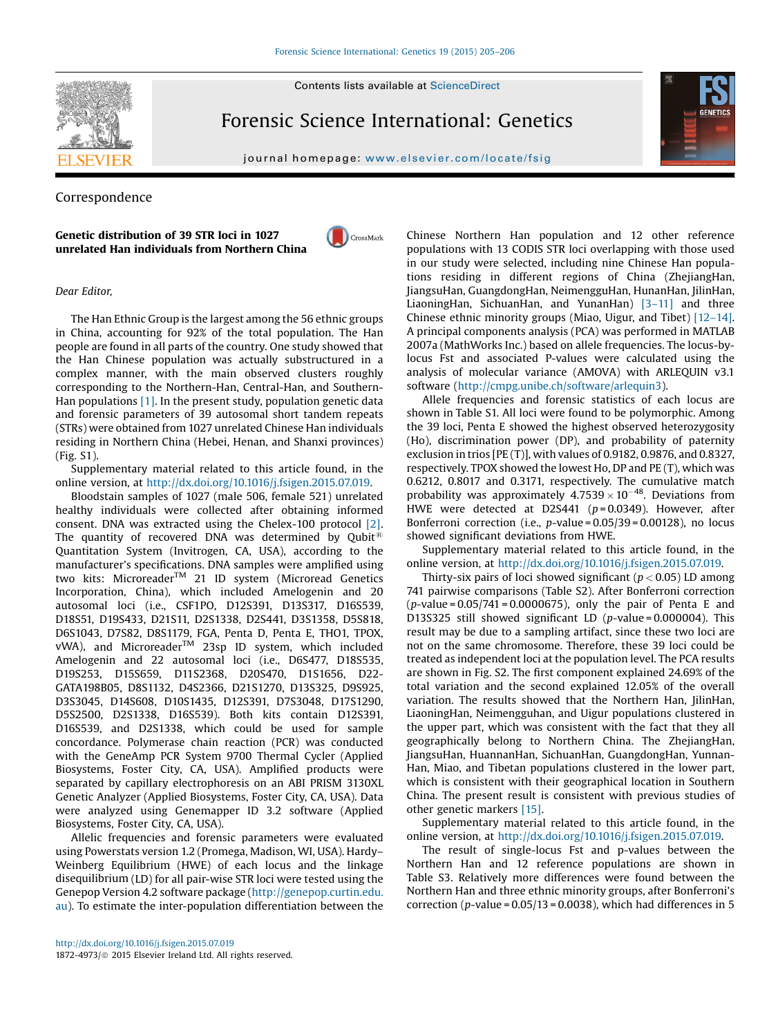

Forensic Science International: Genetics



journal homepage: <www.elsevier.com/locate/fsig>

# Correspondence

## Genetic distribution of 39 STR loci in 1027 unrelated Han individuals from Northern China



### Dear Editor,

The Han Ethnic Group is the largest among the 56 ethnic groups in China, accounting for 92% of the total population. The Han people are found in all parts of the country. One study showed that the Han Chinese population was actually substructured in a complex manner, with the main observed clusters roughly corresponding to the Northern-Han, Central-Han, and Southern-Han populations  $[1]$ . In the present study, population genetic data and forensic parameters of 39 autosomal short tandem repeats (STRs) were obtained from 1027 unrelated Chinese Han individuals residing in Northern China (Hebei, Henan, and Shanxi provinces) (Fig. S1).

Supplementary material related to this article found, in the online version, at <http://dx.doi.org/10.1016/j.fsigen.2015.07.019>.

Bloodstain samples of 1027 (male 506, female 521) unrelated healthy individuals were collected after obtaining informed consent. DNA was extracted using the Chelex-100 protocol [\[2\]](#page-1-0). The quantity of recovered DNA was determined by Qubit<sup>®</sup> Quantitation System (Invitrogen, CA, USA), according to the manufacturer's specifications. DNA samples were amplified using two kits: MicroreaderTM 21 ID system (Microread Genetics Incorporation, China), which included Amelogenin and 20 autosomal loci (i.e., CSF1PO, D12S391, D13S317, D16S539, D18S51, D19S433, D21S11, D2S1338, D2S441, D3S1358, D5S818, D6S1043, D7S82, D8S1179, FGA, Penta D, Penta E, THO1, TPOX, vWA), and Microreader<sup>™</sup> 23sp ID system, which included Amelogenin and 22 autosomal loci (i.e., D6S477, D18S535, D19S253, D15S659, D11S2368, D20S470, D1S1656, D22- GATA198B05, D8S1132, D4S2366, D21S1270, D13S325, D9S925, D3S3045, D14S608, D10S1435, D12S391, D7S3048, D17S1290, D5S2500, D2S1338, D16S539). Both kits contain D12S391, D16S539, and D2S1338, which could be used for sample concordance. Polymerase chain reaction (PCR) was conducted with the GeneAmp PCR System 9700 Thermal Cycler (Applied Biosystems, Foster City, CA, USA). Amplified products were separated by capillary electrophoresis on an ABI PRISM 3130XL Genetic Analyzer (Applied Biosystems, Foster City, CA, USA). Data were analyzed using Genemapper ID 3.2 software (Applied Biosystems, Foster City, CA, USA).

Allelic frequencies and forensic parameters were evaluated using Powerstats version 1.2 (Promega, Madison, WI, USA). Hardy– Weinberg Equilibrium (HWE) of each locus and the linkage disequilibrium (LD) for all pair-wise STR loci were tested using the Genepop Version 4.2 software package ([http://genepop.curtin.edu.](http://genepop.curtin.edu.au) [au\)](http://genepop.curtin.edu.au). To estimate the inter-population differentiation between the

Chinese Northern Han population and 12 other reference populations with 13 CODIS STR loci overlapping with those used in our study were selected, including nine Chinese Han populations residing in different regions of China (ZhejiangHan, JiangsuHan, GuangdongHan, NeimengguHan, HunanHan, JilinHan, LiaoningHan, SichuanHan, and YunanHan) [3–[11\]](#page-1-0) and three Chinese ethnic minority groups (Miao, Uigur, and Tibet) [12–[14\].](#page-1-0) A principal components analysis (PCA) was performed in MATLAB 2007a (MathWorks Inc.) based on allele frequencies. The locus-bylocus Fst and associated P-values were calculated using the analysis of molecular variance (AMOVA) with ARLEQUIN v3.1 software ([http://cmpg.unibe.ch/software/arlequin3\)](http://cmpg.unibe.ch/software/arlequin3).

Allele frequencies and forensic statistics of each locus are shown in Table S1. All loci were found to be polymorphic. Among the 39 loci, Penta E showed the highest observed heterozygosity (Ho), discrimination power (DP), and probability of paternity exclusion in trios [PE (T)], with values of 0.9182, 0.9876, and 0.8327, respectively. TPOX showed the lowest Ho, DP and PE (T), which was 0.6212, 0.8017 and 0.3171, respectively. The cumulative match probability was approximately  $4.7539 \times 10^{-48}$ . Deviations from HWE were detected at D2S441 ( $p = 0.0349$ ). However, after Bonferroni correction (i.e.,  $p$ -value = 0.05/39 = 0.00128), no locus showed significant deviations from HWE.

Supplementary material related to this article found, in the online version, at <http://dx.doi.org/10.1016/j.fsigen.2015.07.019>.

Thirty-six pairs of loci showed significant ( $p < 0.05$ ) LD among 741 pairwise comparisons (Table S2). After Bonferroni correction  $(p$ -value = 0.05/741 = 0.0000675), only the pair of Penta E and D13S325 still showed significant LD ( $p$ -value = 0.000004). This result may be due to a sampling artifact, since these two loci are not on the same chromosome. Therefore, these 39 loci could be treated as independent loci at the population level. The PCA results are shown in Fig. S2. The first component explained 24.69% of the total variation and the second explained 12.05% of the overall variation. The results showed that the Northern Han, JilinHan, LiaoningHan, Neimengguhan, and Uigur populations clustered in the upper part, which was consistent with the fact that they all geographically belong to Northern China. The ZhejiangHan, JiangsuHan, HuannanHan, SichuanHan, GuangdongHan, Yunnan-Han, Miao, and Tibetan populations clustered in the lower part, which is consistent with their geographical location in Southern China. The present result is consistent with previous studies of other genetic markers [\[15\]](#page-1-0).

Supplementary material related to this article found, in the online version, at <http://dx.doi.org/10.1016/j.fsigen.2015.07.019>.

The result of single-locus Fst and p-values between the Northern Han and 12 reference populations are shown in Table S3. Relatively more differences were found between the Northern Han and three ethnic minority groups, after Bonferroni's correction ( $p$ -value = 0.05/13 = 0.0038), which had differences in 5